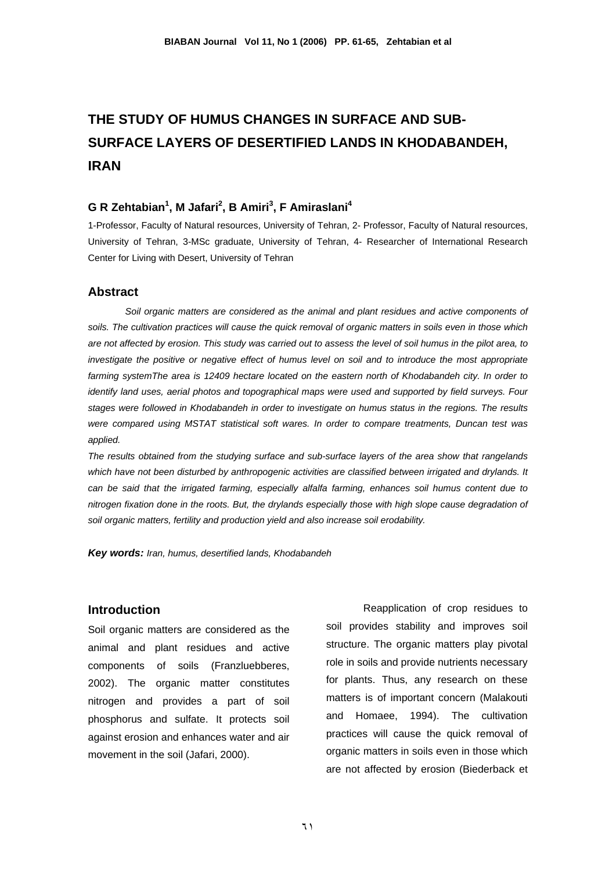# **THE STUDY OF HUMUS CHANGES IN SURFACE AND SUB-SURFACE LAYERS OF DESERTIFIED LANDS IN KHODABANDEH, IRAN**

# **G R Zehtabian<sup>1</sup> , M Jafari<sup>2</sup> , B Amiri<sup>3</sup> , F Amiraslani4**

1-Professor, Faculty of Natural resources, University of Tehran, 2- Professor, Faculty of Natural resources, University of Tehran, 3-MSc graduate, University of Tehran, 4- Researcher of International Research Center for Living with Desert, University of Tehran

#### **Abstract**

 *Soil organic matters are considered as the animal and plant residues and active components of soils. The cultivation practices will cause the quick removal of organic matters in soils even in those which are not affected by erosion. This study was carried out to assess the level of soil humus in the pilot area, to*  investigate the positive or negative effect of humus level on soil and to introduce the most appropriate farming systemThe area is 12409 hectare located on the eastern north of Khodabandeh city. In order to *identify land uses, aerial photos and topographical maps were used and supported by field surveys. Four stages were followed in Khodabandeh in order to investigate on humus status in the regions. The results were compared using MSTAT statistical soft wares. In order to compare treatments, Duncan test was applied.* 

*The results obtained from the studying surface and sub-surface layers of the area show that rangelands*  which have not been disturbed by anthropogenic activities are classified between irrigated and drylands. It *can be said that the irrigated farming, especially alfalfa farming, enhances soil humus content due to nitrogen fixation done in the roots. But, the drylands especially those with high slope cause degradation of soil organic matters, fertility and production yield and also increase soil erodability.* 

*Key words: Iran, humus, desertified lands, Khodabandeh*

#### **Introduction**

Soil organic matters are considered as the animal and plant residues and active components of soils (Franzluebberes, 2002). The organic matter constitutes nitrogen and provides a part of soil phosphorus and sulfate. It protects soil against erosion and enhances water and air movement in the soil (Jafari, 2000).

 Reapplication of crop residues to soil provides stability and improves soil structure. The organic matters play pivotal role in soils and provide nutrients necessary for plants. Thus, any research on these matters is of important concern (Malakouti and Homaee, 1994). The cultivation practices will cause the quick removal of organic matters in soils even in those which are not affected by erosion (Biederback et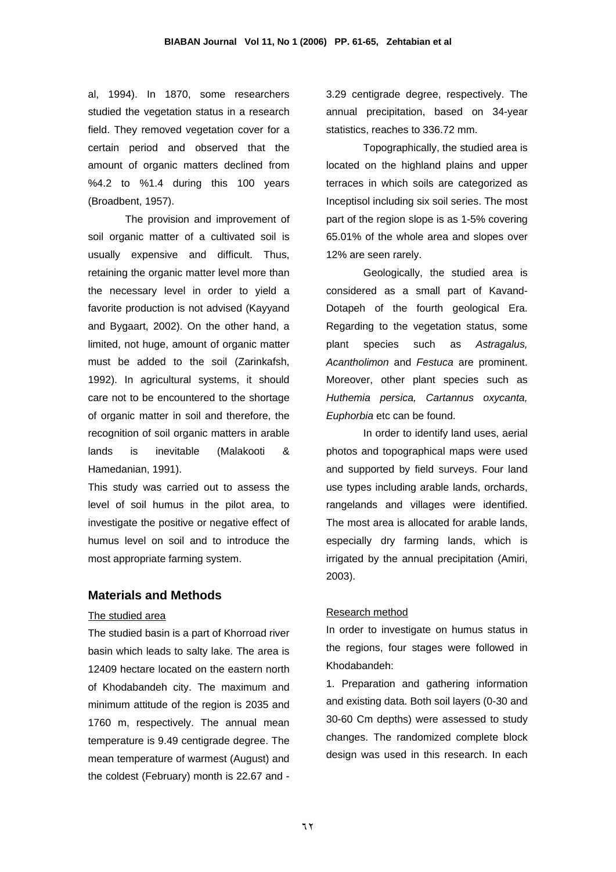al, 1994). In 1870, some researchers studied the vegetation status in a research field. They removed vegetation cover for a certain period and observed that the amount of organic matters declined from %4.2 to %1.4 during this 100 years (Broadbent, 1957).

 The provision and improvement of soil organic matter of a cultivated soil is usually expensive and difficult. Thus, retaining the organic matter level more than the necessary level in order to yield a favorite production is not advised (Kayyand and Bygaart, 2002). On the other hand, a limited, not huge, amount of organic matter must be added to the soil (Zarinkafsh, 1992). In agricultural systems, it should care not to be encountered to the shortage of organic matter in soil and therefore, the recognition of soil organic matters in arable lands is inevitable (Malakooti & Hamedanian, 1991).

This study was carried out to assess the level of soil humus in the pilot area, to investigate the positive or negative effect of humus level on soil and to introduce the most appropriate farming system.

# **Materials and Methods**

#### The studied area

The studied basin is a part of Khorroad river basin which leads to salty lake. The area is 12409 hectare located on the eastern north of Khodabandeh city. The maximum and minimum attitude of the region is 2035 and 1760 m, respectively. The annual mean temperature is 9.49 centigrade degree. The mean temperature of warmest (August) and the coldest (February) month is 22.67 and -

3.29 centigrade degree, respectively. The annual precipitation, based on 34-year statistics, reaches to 336.72 mm.

 Topographically, the studied area is located on the highland plains and upper terraces in which soils are categorized as Inceptisol including six soil series. The most part of the region slope is as 1-5% covering 65.01% of the whole area and slopes over 12% are seen rarely.

 Geologically, the studied area is considered as a small part of Kavand-Dotapeh of the fourth geological Era. Regarding to the vegetation status, some plant species such as *Astragalus, Acantholimon* and *Festuca* are prominent. Moreover, other plant species such as *Huthemia persica, Cartannus oxycanta, Euphorbia* etc can be found.

 In order to identify land uses, aerial photos and topographical maps were used and supported by field surveys. Four land use types including arable lands, orchards, rangelands and villages were identified. The most area is allocated for arable lands, especially dry farming lands, which is irrigated by the annual precipitation (Amiri, 2003).

#### Research method

In order to investigate on humus status in the regions, four stages were followed in Khodabandeh:

1. Preparation and gathering information and existing data. Both soil layers (0-30 and 30-60 Cm depths) were assessed to study changes. The randomized complete block design was used in this research. In each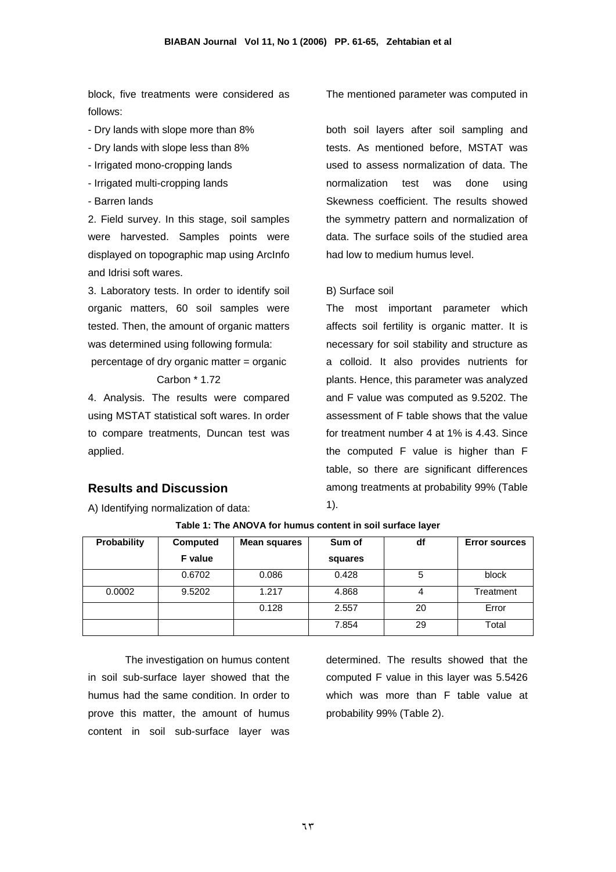block, five treatments were considered as follows:

- Dry lands with slope more than 8%
- Dry lands with slope less than 8%
- Irrigated mono-cropping lands
- Irrigated multi-cropping lands
- Barren lands

2. Field survey. In this stage, soil samples were harvested. Samples points were displayed on topographic map using ArcInfo and Idrisi soft wares.

3. Laboratory tests. In order to identify soil organic matters, 60 soil samples were tested. Then, the amount of organic matters was determined using following formula:

percentage of dry organic matter = organic Carbon \* 1.72

4. Analysis. The results were compared using MSTAT statistical soft wares. In order to compare treatments, Duncan test was applied.

#### **Results and Discussion**

A) Identifying normalization of data:

#### The mentioned parameter was computed in

both soil layers after soil sampling and tests. As mentioned before, MSTAT was used to assess normalization of data. The normalization test was done using Skewness coefficient. The results showed the symmetry pattern and normalization of data. The surface soils of the studied area had low to medium humus level.

#### B) Surface soil

The most important parameter which affects soil fertility is organic matter. It is necessary for soil stability and structure as a colloid. It also provides nutrients for plants. Hence, this parameter was analyzed and F value was computed as 9.5202. The assessment of F table shows that the value for treatment number 4 at 1% is 4.43. Since the computed F value is higher than F table, so there are significant differences among treatments at probability 99% (Table 1).

| <b>Probability</b> | Computed       | Mean squares | Sum of  | df | <b>Error sources</b> |
|--------------------|----------------|--------------|---------|----|----------------------|
|                    | <b>F</b> value |              | squares |    |                      |
|                    | 0.6702         | 0.086        | 0.428   | 5  | block                |
| 0.0002             | 9.5202         | 1.217        | 4.868   | 4  | Treatment            |
|                    |                | 0.128        | 2.557   | 20 | Error                |
|                    |                |              | 7.854   | 29 | Total                |

**Table 1: The ANOVA for humus content in soil surface layer** 

 The investigation on humus content in soil sub-surface layer showed that the humus had the same condition. In order to prove this matter, the amount of humus content in soil sub-surface layer was

determined. The results showed that the computed F value in this layer was 5.5426 which was more than F table value at probability 99% (Table 2).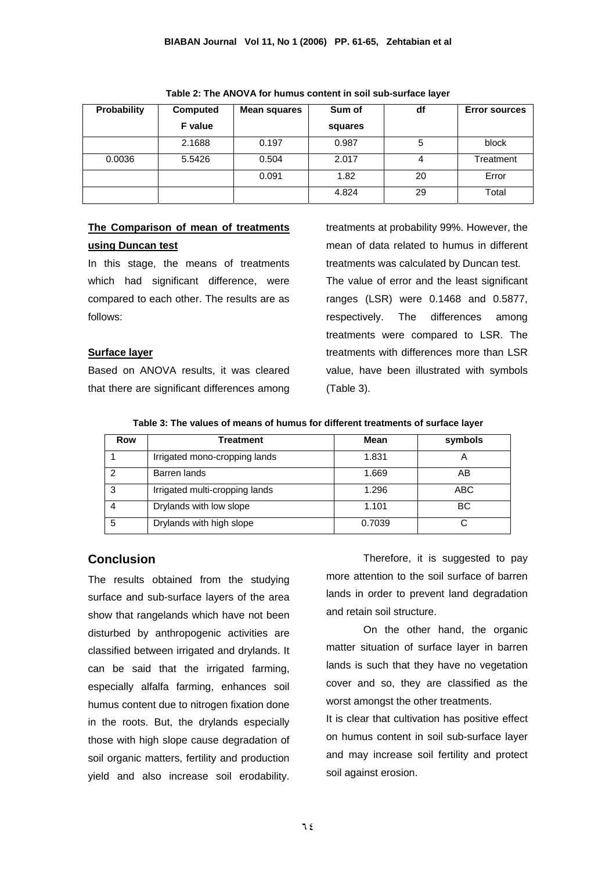| <b>Probability</b> | Computed | Mean squares | Sum of  | df | <b>Error sources</b> |
|--------------------|----------|--------------|---------|----|----------------------|
|                    | F value  |              | squares |    |                      |
|                    | 2.1688   | 0.197        | 0.987   | 5  | block                |
| 0.0036             | 5.5426   | 0.504        | 2.017   | 4  | Treatment            |
|                    |          | 0.091        | 1.82    | 20 | Error                |
|                    |          |              | 4.824   | 29 | Total                |

**Table 2: The ANOVA for humus content in soil sub-surface layer** 

# **The Comparison of mean of treatments using Duncan test**

In this stage, the means of treatments which had significant difference, were compared to each other. The results are as follows:

#### **Surface layer**

Based on ANOVA results, it was cleared that there are significant differences among

treatments at probability 99%. However, the mean of data related to humus in different treatments was calculated by Duncan test. The value of error and the least significant ranges (LSR) were 0.1468 and 0.5877, respectively. The differences among treatments were compared to LSR. The

treatments with differences more than LSR value, have been illustrated with symbols (Table 3).

| Table 3: The values of means of humus for different treatments of surface layer |  |  |
|---------------------------------------------------------------------------------|--|--|
|                                                                                 |  |  |

| Row | <b>Treatment</b>               | <b>Mean</b> | symbols |
|-----|--------------------------------|-------------|---------|
|     | Irrigated mono-cropping lands  | 1.831       |         |
| ົ   | Barren lands                   | 1.669       | AB      |
| 3   | Irrigated multi-cropping lands | 1.296       | ABC     |
|     | Drylands with low slope        | 1.101       | ВC      |
| 5   | Drylands with high slope       | 0.7039      | C       |

# **Conclusion**

The results obtained from the studying surface and sub-surface layers of the area show that rangelands which have not been disturbed by anthropogenic activities are classified between irrigated and drylands. It can be said that the irrigated farming, especially alfalfa farming, enhances soil humus content due to nitrogen fixation done in the roots. But, the drylands especially those with high slope cause degradation of soil organic matters, fertility and production yield and also increase soil erodability.

Therefore, it is suggested to pay more attention to the soil surface of barren lands in order to prevent land degradation and retain soil structure.

 On the other hand, the organic matter situation of surface layer in barren lands is such that they have no vegetation cover and so, they are classified as the worst amongst the other treatments.

It is clear that cultivation has positive effect on humus content in soil sub-surface layer and may increase soil fertility and protect soil against erosion.